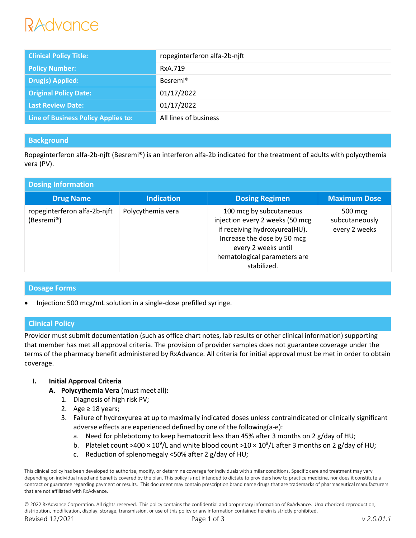# RAdvance

| <b>Clinical Policy Title:</b>       | ropeginterferon alfa-2b-njft |
|-------------------------------------|------------------------------|
| <b>Policy Number:</b>               | RxA.719                      |
| Drug(s) Applied:                    | Besremi <sup>®</sup>         |
| <b>Original Policy Date:</b>        | 01/17/2022                   |
| <b>Last Review Date:</b>            | 01/17/2022                   |
| Line of Business Policy Applies to: | All lines of business        |

# **Background**

Ropeginterferon alfa-2b-njft (Besremi®) is an interferon alfa-2b indicated for the treatment of adults with polycythemia vera (PV).

| <b>Dosing Information</b>                  |                   |                                                                                                                                                                                                  |                                            |  |  |
|--------------------------------------------|-------------------|--------------------------------------------------------------------------------------------------------------------------------------------------------------------------------------------------|--------------------------------------------|--|--|
| <b>Drug Name</b>                           | <b>Indication</b> | <b>Dosing Regimen</b>                                                                                                                                                                            | <b>Maximum Dose</b>                        |  |  |
| ropeginterferon alfa-2b-njft<br>(Besremi®) | Polycythemia vera | 100 mcg by subcutaneous<br>injection every 2 weeks (50 mcg<br>if receiving hydroxyurea(HU).<br>Increase the dose by 50 mcg<br>every 2 weeks until<br>hematological parameters are<br>stabilized. | 500 mcg<br>subcutaneously<br>every 2 weeks |  |  |

## **Dosage Forms**

• Injection: 500 mcg/mL solution in a single-dose prefilled syringe.

## **Clinical Policy**

Provider must submit documentation (such as office chart notes, lab results or other clinical information) supporting that member has met all approval criteria. The provision of provider samples does not guarantee coverage under the terms of the pharmacy benefit administered by RxAdvance. All criteria for initial approval must be met in order to obtain coverage.

## **I. Initial Approval Criteria**

- **A. Polycythemia Vera** (must meet all)**:**
	- 1. Diagnosis of high risk PV;
	- 2. Age  $\geq$  18 years;
	- 3. Failure of hydroxyurea at up to maximally indicated doses unless contraindicated or clinically significant adverse effects are experienced defined by one of the following(a-e):
		- a. Need for phlebotomy to keep hematocrit less than 45% after 3 months on 2 g/day of HU;
		- b. Platelet count >400  $\times$  10<sup>9</sup>/L and white blood count >10  $\times$  10<sup>9</sup>/L after 3 months on 2 g/day of HU;
		- c. Reduction of splenomegaly ˂50% after 2 g/day of HU;

This clinical policy has been developed to authorize, modify, or determine coverage for individuals with similar conditions. Specific care and treatment may vary depending on individual need and benefits covered by the plan. This policy is not intended to dictate to providers how to practice medicine, nor does it constitute a contract or guarantee regarding payment or results. This document may contain prescription brand name drugs that are trademarks of pharmaceutical manufacturers that are not affiliated with RxAdvance.

© 2022 RxAdvance Corporation. All rights reserved. This policy contains the confidential and proprietary information of RxAdvance. Unauthorized reproduction, distribution, modification, display, storage, transmission, or use of this policy or any information contained herein is strictly prohibited. Revised 12/2021 Page 1 of 3 *v 2.0.01.1*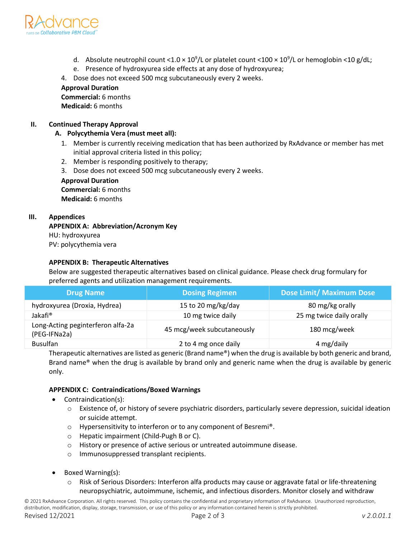

- d. Absolute neutrophil count <1.0  $\times$  10<sup>9</sup>/L or platelet count <100  $\times$  10<sup>9</sup>/L or hemoglobin <10 g/dL;
- e. Presence of hydroxyurea side effects at any dose of hydroxyurea;
- 4. Dose does not exceed 500 mcg subcutaneously every 2 weeks.

**Approval Duration**

**Commercial:** 6 months **Medicaid:** 6 months

### **II. Continued Therapy Approval**

#### **A. Polycythemia Vera (must meet all):**

- 1. Member is currently receiving medication that has been authorized by RxAdvance or member has met initial approval criteria listed in this policy;
- 2. Member is responding positively to therapy;
- 3. Dose does not exceed 500 mcg subcutaneously every 2 weeks.

**Approval Duration Commercial:** 6 months **Medicaid:** 6 months

#### **III. Appendices**

**APPENDIX A: Abbreviation/Acronym Key** HU: hydroxyurea PV: polycythemia vera

#### **APPENDIX B: Therapeutic Alternatives**

Below are suggested therapeutic alternatives based on clinical guidance. Please check drug formulary for preferred agents and utilization management requirements.

| <b>Drug Name</b>                                  | <b>Dosing Regimen</b>      | <b>Dose Limit/ Maximum Dose</b> |
|---------------------------------------------------|----------------------------|---------------------------------|
| hydroxyurea (Droxia, Hydrea)                      | 15 to 20 mg/kg/day         | 80 mg/kg orally                 |
| Jakafi <sup>®</sup>                               | 10 mg twice daily          | 25 mg twice daily orally        |
| Long-Acting peginterferon alfa-2a<br>(PEG-IFNa2a) | 45 mcg/week subcutaneously | 180 mcg/week                    |
| <b>Busulfan</b>                                   | 2 to 4 mg once daily       | 4 mg/daily                      |

Therapeutic alternatives are listed as generic (Brand name®) when the drug is available by both generic and brand, Brand name® when the drug is available by brand only and generic name when the drug is available by generic only.

#### **APPENDIX C: Contraindications/Boxed Warnings**

- Contraindication(s):
	- o Existence of, or history of severe psychiatric disorders, particularly severe depression, suicidal ideation or suicide attempt.
	- o Hypersensitivity to interferon or to any component of Besremi®.
	- o Hepatic impairment (Child-Pugh B or C).
	- o History or presence of active serious or untreated autoimmune disease.
	- o Immunosuppressed transplant recipients.
- Boxed Warning(s):
	- o Risk of Serious Disorders: Interferon alfa products may cause or aggravate fatal or life-threatening neuropsychiatric, autoimmune, ischemic, and infectious disorders. Monitor closely and withdraw

© 2021 RxAdvance Corporation. All rights reserved. This policy contains the confidential and proprietary information of RxAdvance. Unauthorized reproduction, distribution, modification, display, storage, transmission, or use of this policy or any information contained herein is strictly prohibited. Revised 12/2021 Page 2 of 3 *v 2.0.01.1*